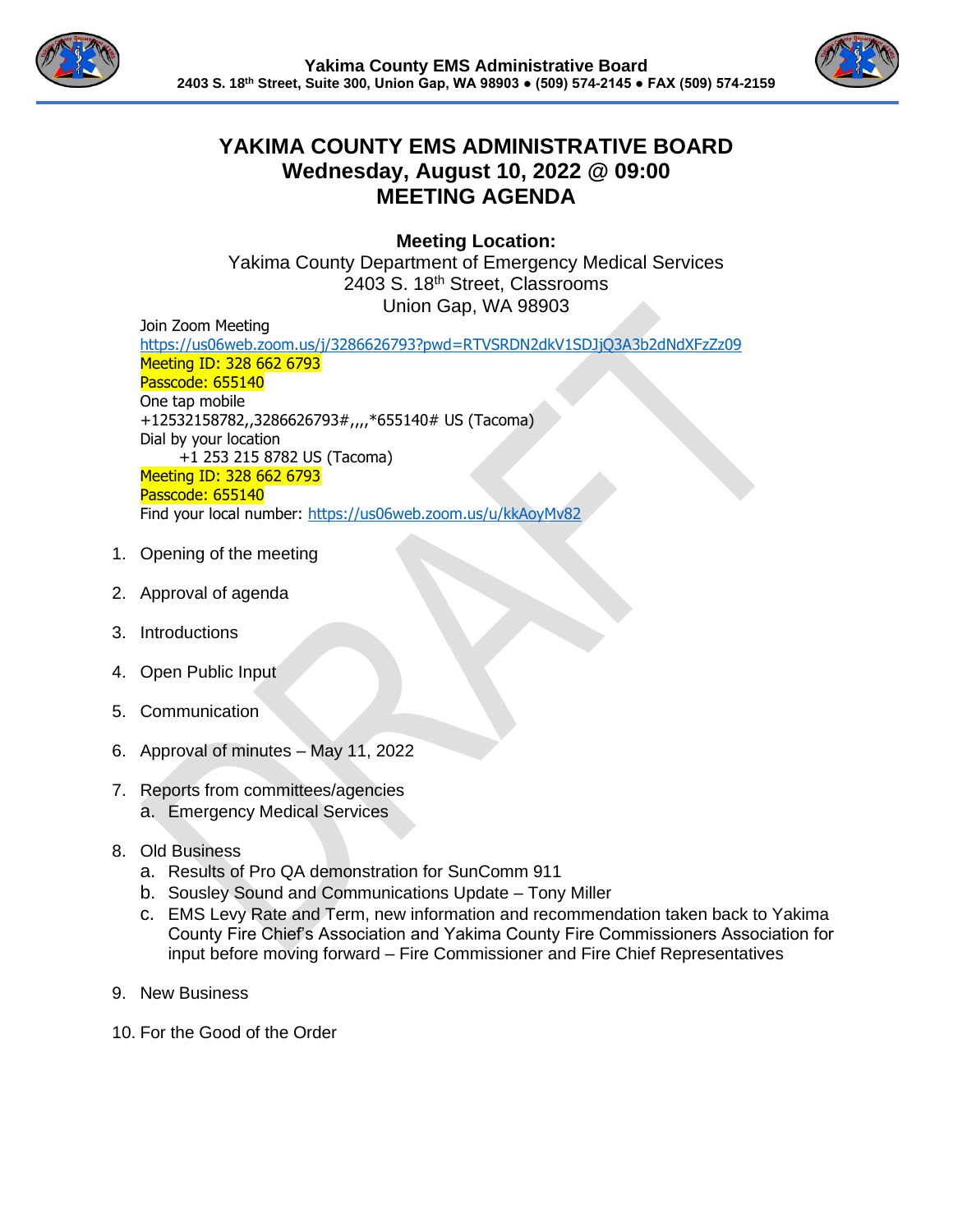



## **YAKIMA COUNTY EMS ADMINISTRATIVE BOARD Wednesday, August 10, 2022 @ 09:00 MEETING AGENDA**

**Meeting Location:**

Yakima County Department of Emergency Medical Services 2403 S. 18th Street, Classrooms Union Gap, WA 98903

Join Zoom Meeting

<https://us06web.zoom.us/j/3286626793?pwd=RTVSRDN2dkV1SDJjQ3A3b2dNdXFzZz09> Meeting ID: 328 662 6793 Passcode: 655140 One tap mobile +12532158782,,3286626793#,,,,\*655140# US (Tacoma) Dial by your location +1 253 215 8782 US (Tacoma) Meeting ID: 328 662 6793 Passcode: 655140 Find your local number:<https://us06web.zoom.us/u/kkAoyMv82>

- 1. Opening of the meeting
- 2. Approval of agenda
- 3. Introductions
- 4. Open Public Input
- 5. Communication
- 6. Approval of minutes May 11, 2022
- 7. Reports from committees/agencies
	- a. Emergency Medical Services
- 8. Old Business
	- a. Results of Pro QA demonstration for SunComm 911
	- b. Sousley Sound and Communications Update Tony Miller
	- c. EMS Levy Rate and Term, new information and recommendation taken back to Yakima County Fire Chief's Association and Yakima County Fire Commissioners Association for input before moving forward – Fire Commissioner and Fire Chief Representatives
- 9. New Business
- 10. For the Good of the Order